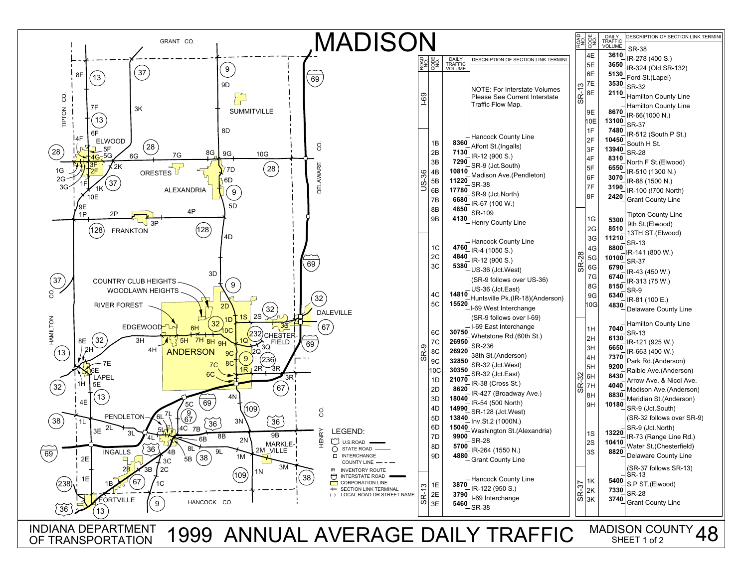